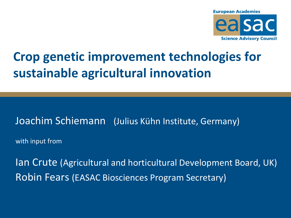

# **Crop genetic improvement technologies for sustainable agricultural innovation**

#### Joachim Schiemann (Julius Kühn Institute, Germany)

with input from

Ian Crute (Agricultural and horticultural Development Board, UK) Robin Fears (EASAC Biosciences Program Secretary)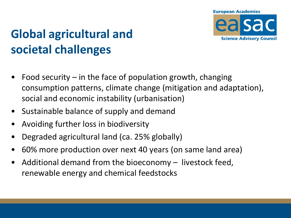

# **Global agricultural and societal challenges**

- Food security in the face of population growth, changing consumption patterns, climate change (mitigation and adaptation), social and economic instability (urbanisation)
- Sustainable balance of supply and demand
- Avoiding further loss in biodiversity
- Degraded agricultural land (ca. 25% globally)
- 60% more production over next 40 years (on same land area)
- Additional demand from the bioeconomy  $-$  livestock feed, renewable energy and chemical feedstocks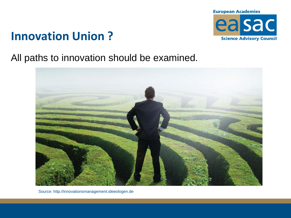

#### **Innovation Union ?**

All paths to innovation should be examined.



Source: http://innovationsmanagement.ideeologen.de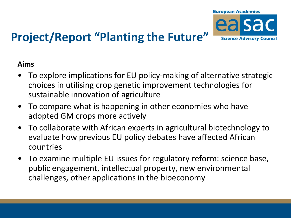

# **Project/Report "Planting the Future"**

#### **Aims**

- To explore implications for EU policy-making of alternative strategic choices in utilising crop genetic improvement technologies for sustainable innovation of agriculture
- To compare what is happening in other economies who have adopted GM crops more actively
- To collaborate with African experts in agricultural biotechnology to evaluate how previous EU policy debates have affected African countries
- To examine multiple EU issues for regulatory reform: science base, public engagement, intellectual property, new environmental challenges, other applications in the bioeconomy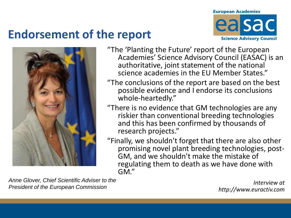#### **Endorsement of the report**





- "The 'Planting the Future' report of the European Academies' Science Advisory Council (EASAC) is an authoritative, joint statement of the national science academies in the EU Member States."
- "The conclusions of the report are based on the best possible evidence and I endorse its conclusions whole-heartedly."
- "There is no evidence that GM technologies are any riskier than conventional breeding technologies and this has been confirmed by thousands of research projects."
- "Finally, we shouldn't forget that there are also other promising novel plant breeding technologies, post-GM, and we shouldn't make the mistake of regulating them to death as we have done with GM."

*Anne Glover, Chief Scientific Adviser to the President of the European Commission*

*Interview at http://www.euractiv.com*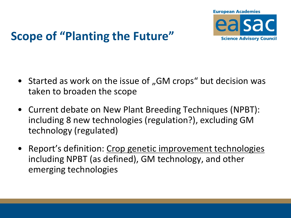

## **Scope of "Planting the Future"**

- Started as work on the issue of "GM crops" but decision was taken to broaden the scope
- Current debate on New Plant Breeding Techniques (NPBT): including 8 new technologies (regulation?), excluding GM technology (regulated)
- Report's definition: Crop genetic improvement technologies including NPBT (as defined), GM technology, and other emerging technologies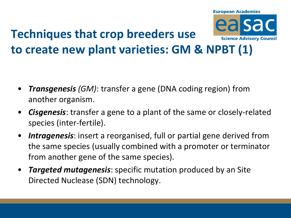

# **to create new plant varieties: GM & NPBT (1)**

- *Transgenesis (GM)*: transfer a gene (DNA coding region) from another organism.
- *Cisgenesis*: transfer a gene to a plant of the same or closely-related species (inter-fertile).
- *Intragenesis*: insert a reorganised, full or partial gene derived from the same species (usually combined with a promoter or terminator from another gene of the same species).
- *Targeted mutagenesis*: specific mutation produced by an Site Directed Nuclease (SDN) technology.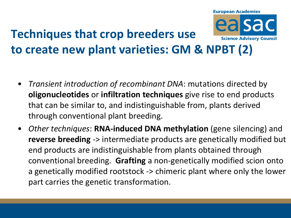

- *Transient introduction of recombinant DNA*: mutations directed by **oligonucleotides** or **infiltration techniques** give rise to end products that can be similar to, and indistinguishable from, plants derived through conventional plant breeding.
- *Other techniques*: **RNA-induced DNA methylation** (gene silencing) and **reverse breeding** -> intermediate products are genetically modified but end products are indistinguishable from plants obtained through conventional breeding. **Grafting** a non-genetically modified scion onto a genetically modified rootstock -> chimeric plant where only the lower part carries the genetic transformation.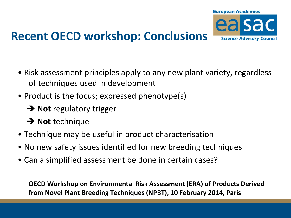

#### **Recent OECD workshop: Conclusions**

- Risk assessment principles apply to any new plant variety, regardless of techniques used in development
- Product is the focus; expressed phenotype(s)
	- **→ Not** regulatory trigger
	- **→ Not** technique
- Technique may be useful in product characterisation
- No new safety issues identified for new breeding techniques
- Can a simplified assessment be done in certain cases?

 **OECD Workshop on Environmental Risk Assessment (ERA) of Products Derived from Novel Plant Breeding Techniques (NPBT), 10 February 2014, Paris**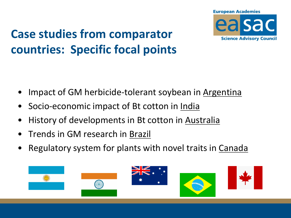

## **Case studies from comparator countries: Specific focal points**

- Impact of GM herbicide-tolerant soybean in Argentina
- Socio-economic impact of Bt cotton in India
- History of developments in Bt cotton in Australia
- Trends in GM research in Brazil
- Regulatory system for plants with novel traits in Canada

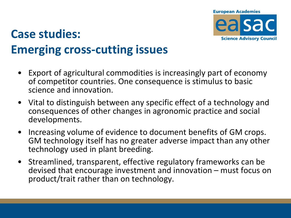

## **Case studies: Emerging cross-cutting issues**

- Export of agricultural commodities is increasingly part of economy of competitor countries. One consequence is stimulus to basic science and innovation.
- Vital to distinguish between any specific effect of a technology and consequences of other changes in agronomic practice and social developments.
- Increasing volume of evidence to document benefits of GM crops. GM technology itself has no greater adverse impact than any other technology used in plant breeding.
- Streamlined, transparent, effective regulatory frameworks can be devised that encourage investment and innovation – must focus on product/trait rather than on technology.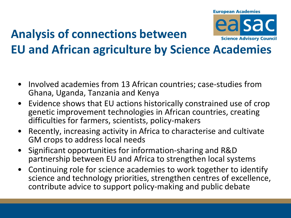#### **Analysis of connections between**



# **EU and African agriculture by Science Academies**

- Involved academies from 13 African countries; case-studies from Ghana, Uganda, Tanzania and Kenya
- Evidence shows that EU actions historically constrained use of crop genetic improvement technologies in African countries, creating difficulties for farmers, scientists, policy-makers
- Recently, increasing activity in Africa to characterise and cultivate GM crops to address local needs
- Significant opportunities for information-sharing and R&D partnership between EU and Africa to strengthen local systems
- Continuing role for science academies to work together to identify science and technology priorities, strengthen centres of excellence, contribute advice to support policy-making and public debate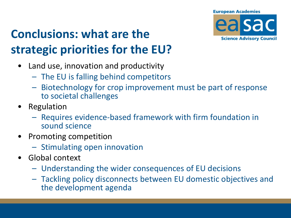

# **Conclusions: what are the strategic priorities for the EU?**

- Land use, innovation and productivity
	- The EU is falling behind competitors
	- Biotechnology for crop improvement must be part of response to societal challenges
- Regulation
	- Requires evidence-based framework with firm foundation in sound science
- Promoting competition
	- Stimulating open innovation
- Global context
	- Understanding the wider consequences of EU decisions
	- Tackling policy disconnects between EU domestic objectives and the development agenda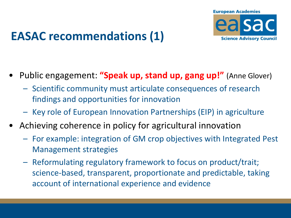

#### **EASAC recommendations (1)**

- Public engagement: **"Speak up, stand up, gang up!"** (Anne Glover)
	- Scientific community must articulate consequences of research findings and opportunities for innovation
	- Key role of European Innovation Partnerships (EIP) in agriculture
- Achieving coherence in policy for agricultural innovation
	- For example: integration of GM crop objectives with Integrated Pest Management strategies
	- Reformulating regulatory framework to focus on product/trait; science-based, transparent, proportionate and predictable, taking account of international experience and evidence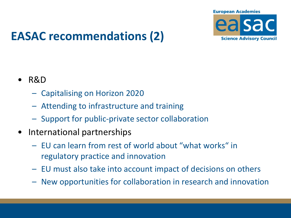

## **EASAC recommendations (2)**

- R&D
	- Capitalising on Horizon 2020
	- Attending to infrastructure and training
	- Support for public-private sector collaboration
- International partnerships
	- EU can learn from rest of world about "what works" in regulatory practice and innovation
	- EU must also take into account impact of decisions on others
	- New opportunities for collaboration in research and innovation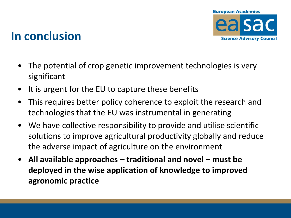

#### **In conclusion**

- The potential of crop genetic improvement technologies is very significant
- It is urgent for the EU to capture these benefits
- This requires better policy coherence to exploit the research and technologies that the EU was instrumental in generating
- We have collective responsibility to provide and utilise scientific solutions to improve agricultural productivity globally and reduce the adverse impact of agriculture on the environment
- **All available approaches – traditional and novel – must be deployed in the wise application of knowledge to improved agronomic practice**